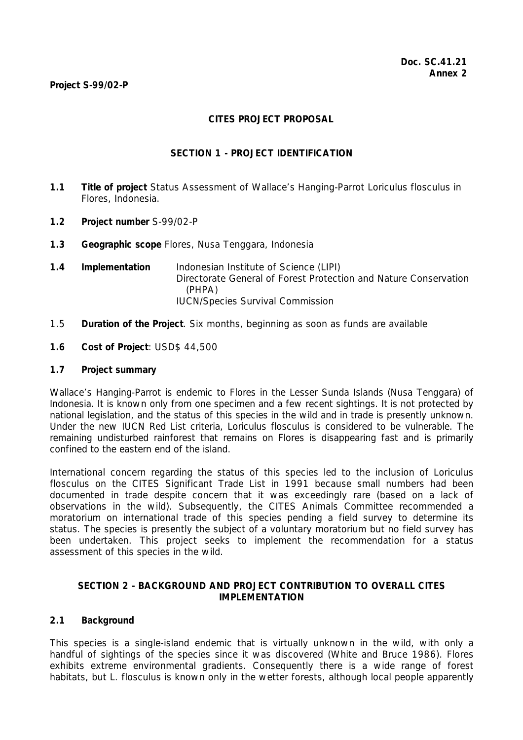#### **Project S-99/02-P**

## **CITES PROJECT PROPOSAL**

## **SECTION 1 - PROJECT IDENTIFICATION**

- **1.1 Title of project** Status Assessment of Wallace's Hanging-Parrot *Loriculus flosculus* in Flores, Indonesia.
- **1.2 Project number** S-99/02-P
- **1.3 Geographic scope** Flores, Nusa Tenggara, Indonesia
- **1.4 Implementation** Indonesian Institute of Science (LIPI) Directorate General of Forest Protection and Nature Conservation (PHPA) IUCN/Species Survival Commission
- 1.5 **Duration of the Project**. Six months, beginning as soon as funds are available
- **1.6 Cost of Project**: USD\$ 44,500

#### **1.7 Project summary**

Wallace's Hanging-Parrot is endemic to Flores in the Lesser Sunda Islands (Nusa Tenggara) of Indonesia. It is known only from one specimen and a few recent sightings. It is not protected by national legislation, and the status of this species in the wild and in trade is presently unknown. Under the new IUCN Red List criteria, *Loriculus flosculus* is considered to be vulnerable. The remaining undisturbed rainforest that remains on Flores is disappearing fast and is primarily confined to the eastern end of the island.

International concern regarding the status of this species led to the inclusion of *Loriculus flosculus* on the CITES Significant Trade List in 1991 because small numbers had been documented in trade despite concern that it was exceedingly rare (based on a lack of observations in the wild). Subsequently, the CITES Animals Committee recommended a moratorium on international trade of this species pending a field survey to determine its status. The species is presently the subject of a voluntary moratorium but no field survey has been undertaken. This project seeks to implement the recommendation for a status assessment of this species in the wild.

#### **SECTION 2 - BACKGROUND AND PROJECT CONTRIBUTION TO OVERALL CITES IMPI FMENTATION**

## **2.1 Background**

This species is a single-island endemic that is virtually unknown in the wild, with only a handful of sightings of the species since it was discovered (White and Bruce 1986). Flores exhibits extreme environmental gradients. Consequently there is a wide range of forest habitats, but *L. flosculus* is known only in the wetter forests, although local people apparently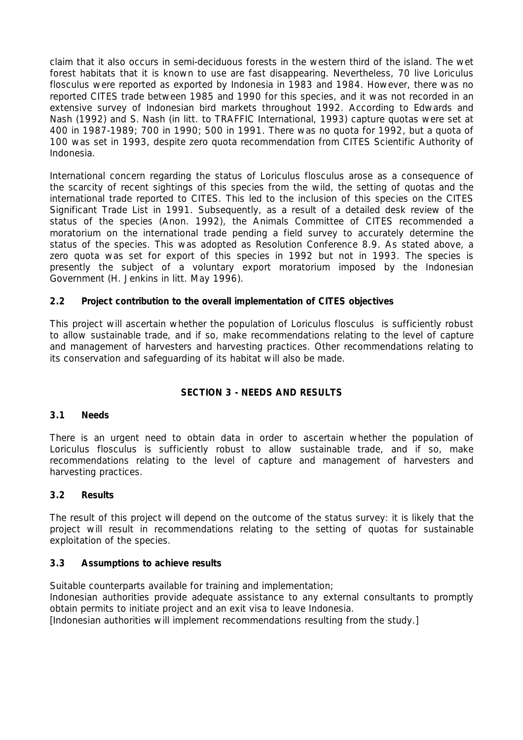claim that it also occurs in semi-deciduous forests in the western third of the island. The wet forest habitats that it is known to use are fast disappearing. Nevertheless, 70 live *Loriculus flosculus* were reported as exported by Indonesia in 1983 and 1984. However, there was no reported CITES trade between 1985 and 1990 for this species, and it was not recorded in an extensive survey of Indonesian bird markets throughout 1992. According to Edwards and Nash (1992) and S. Nash (*in litt.* to TRAFFIC International, 1993) capture quotas were set at 400 in 1987-1989; 700 in 1990; 500 in 1991. There was no quota for 1992, but a quota of 100 was set in 1993, despite zero quota recommendation from CITES Scientific Authority of Indonesia.

International concern regarding the status of *Loriculus flosculus* arose as a consequence of the scarcity of recent sightings of this species from the wild, the setting of quotas and the international trade reported to CITES. This led to the inclusion of this species on the CITES Significant Trade List in 1991. Subsequently, as a result of a detailed desk review of the status of the species (Anon. 1992), the Animals Committee of CITES recommended a moratorium on the international trade pending a field survey to accurately determine the status of the species. This was adopted as Resolution Conference 8.9. As stated above, a zero quota was set for export of this species in 1992 but not in 1993. The species is presently the subject of a voluntary export moratorium imposed by the Indonesian Government (H. Jenkins *in litt*. May 1996).

# **2.2 Project contribution to the overall implementation of CITES objectives**

This project will ascertain whether the population of *Loriculus flosculus* is sufficiently robust to allow sustainable trade, and if so, make recommendations relating to the level of capture and management of harvesters and harvesting practices. Other recommendations relating to its conservation and safeguarding of its habitat will also be made.

## **SECTION 3 - NEEDS AND RESULTS**

#### **3.1 Needs**

There is an urgent need to obtain data in order to ascertain whether the population of *Loriculus flosculus* is sufficiently robust to allow sustainable trade, and if so, make recommendations relating to the level of capture and management of harvesters and harvesting practices.

## **3.2 Results**

The result of this project will depend on the outcome of the status survey: it is likely that the project will result in recommendations relating to the setting of quotas for sustainable exploitation of the species.

## **3.3 Assumptions to achieve results**

Suitable counterparts available for training and implementation; Indonesian authorities provide adequate assistance to any external consultants to promptly obtain permits to initiate project and an exit visa to leave Indonesia. [Indonesian authorities will implement recommendations resulting from the study.]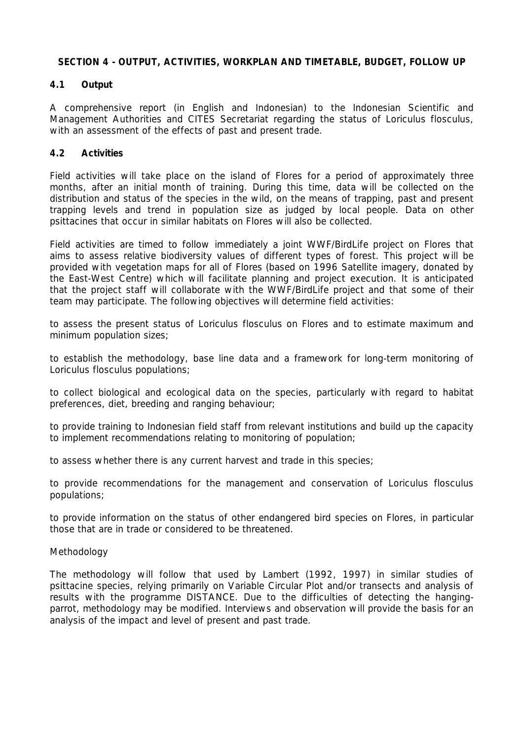#### **SECTION 4 - OUTPUT, ACTIVITIES, WORKPLAN AND TIMETABLE, BUDGET, FOLLOW UP**

## **4.1 Output**

A comprehensive report (in English and Indonesian) to the Indonesian Scientific and Management Authorities and CITES Secretariat regarding the status of *Loriculus flosculus,*  with an assessment of the effects of past and present trade.

## **4.2 Activities**

Field activities will take place on the island of Flores for a period of approximately three months, after an initial month of training. During this time, data will be collected on the distribution and status of the species in the wild, on the means of trapping, past and present trapping levels and trend in population size as judged by local people. Data on other psittacines that occur in similar habitats on Flores will also be collected.

 Field activities are timed to follow immediately a joint WWF/BirdLife project on Flores that aims to assess relative biodiversity values of different types of forest. This project will be provided with vegetation maps for all of Flores (based on 1996 Satellite imagery, donated by the East-West Centre) which will facilitate planning and project execution. It is anticipated that the project staff will collaborate with the WWF/BirdLife project and that some of their team may participate. The following objectives will determine field activities:

to assess the present status of *Loriculus flosculus* on Flores and to estimate maximum and minimum population sizes;

to establish the methodology, base line data and a framework for long-term monitoring of *Loriculus flosculus* populations;

to collect biological and ecological data on the species, particularly with regard to habitat preferences, diet, breeding and ranging behaviour;

to provide training to Indonesian field staff from relevant institutions and build up the capacity to implement recommendations relating to monitoring of population;

to assess whether there is any current harvest and trade in this species;

to provide recommendations for the management and conservation of *Loriculus flosculus* populations;

to provide information on the status of other endangered bird species on Flores, in particular those that are in trade or considered to be threatened.

## *Methodology*

The methodology will follow that used by Lambert (1992, 1997) in similar studies of psittacine species, relying primarily on Variable Circular Plot and/or transects and analysis of results with the programme DISTANCE. Due to the difficulties of detecting the hangingparrot, methodology may be modified. Interviews and observation will provide the basis for an analysis of the impact and level of present and past trade.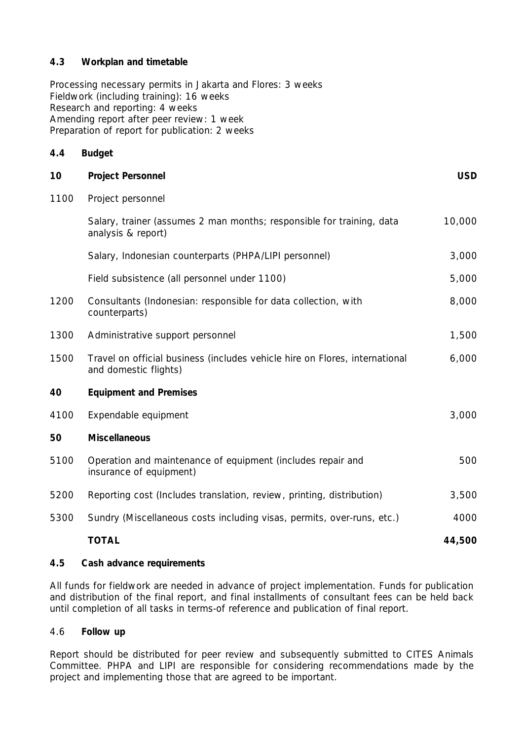# **4.3 Workplan and timetable**

 Processing necessary permits in Jakarta and Flores: 3 weeks Fieldwork (including training): 16 weeks Research and reporting: 4 weeks Amending report after peer review: 1 week Preparation of report for publication: 2 weeks

| 4.4  | <b>Budget</b>                                                                                        |            |
|------|------------------------------------------------------------------------------------------------------|------------|
| 10   | <b>Project Personnel</b>                                                                             | <b>USD</b> |
| 1100 | Project personnel                                                                                    |            |
|      | Salary, trainer (assumes 2 man months; responsible for training, data<br>analysis & report)          | 10,000     |
|      | Salary, Indonesian counterparts (PHPA/LIPI personnel)                                                | 3,000      |
|      | Field subsistence (all personnel under 1100)                                                         | 5,000      |
| 1200 | Consultants (Indonesian: responsible for data collection, with<br>counterparts)                      | 8,000      |
| 1300 | Administrative support personnel                                                                     | 1,500      |
| 1500 | Travel on official business (includes vehicle hire on Flores, international<br>and domestic flights) | 6,000      |
| 40   | <b>Equipment and Premises</b>                                                                        |            |
| 4100 | Expendable equipment                                                                                 | 3,000      |
| 50   | <b>Miscellaneous</b>                                                                                 |            |
| 5100 | Operation and maintenance of equipment (includes repair and<br>insurance of equipment)               | 500        |
| 5200 | Reporting cost (Includes translation, review, printing, distribution)                                | 3,500      |
| 5300 | Sundry (Miscellaneous costs including visas, permits, over-runs, etc.)                               | 4000       |
|      | <b>TOTAL</b>                                                                                         | 44,500     |

# **4.5 Cash advance requirements**

All funds for fieldwork are needed in advance of project implementation. Funds for publication and distribution of the final report, and final installments of consultant fees can be held back until completion of all tasks in terms-of reference and publication of final report.

## 4.6 **Follow up**

Report should be distributed for peer review and subsequently submitted to CITES Animals Committee. PHPA and LIPI are responsible for considering recommendations made by the project and implementing those that are agreed to be important.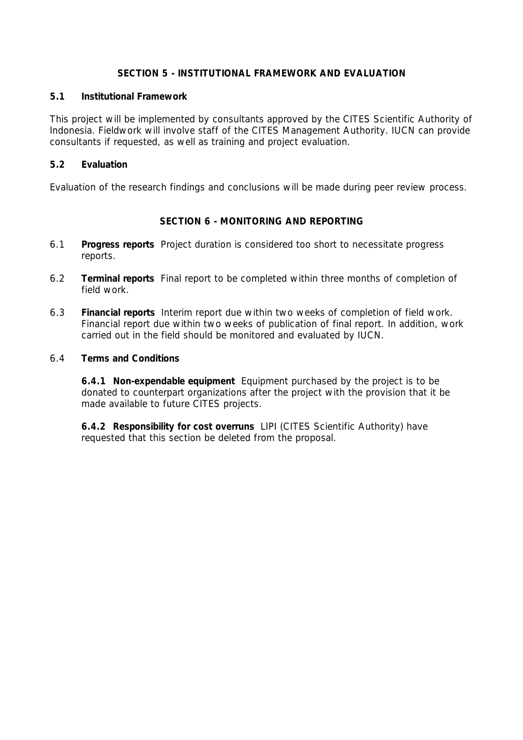## **SECTION 5 - INSTITUTIONAL FRAMEWORK AND EVALUATION**

#### **5.1 Institutional Framework**

This project will be implemented by consultants approved by the CITES Scientific Authority of Indonesia. Fieldwork will involve staff of the CITES Management Authority. IUCN can provide consultants if requested, as well as training and project evaluation.

#### **5.2 Evaluation**

Evaluation of the research findings and conclusions will be made during peer review process.

## **SECTION 6 - MONITORING AND REPORTING**

- 6.1 **Progress reports** Project duration is considered too short to necessitate progress reports.
- 6.2 **Terminal reports** Final report to be completed within three months of completion of field work.
- 6.3 **Financial reports** Interim report due within two weeks of completion of field work. Financial report due within two weeks of publication of final report. In addition, work carried out in the field should be monitored and evaluated by IUCN.

#### 6.4 **Terms and Conditions**

 **6.4.1 Non-expendable equipment** Equipment purchased by the project is to be donated to counterpart organizations after the project with the provision that it be made available to future CITES projects.

 **6.4.2 Responsibility for cost overruns** LIPI (CITES Scientific Authority) have requested that this section be deleted from the proposal.